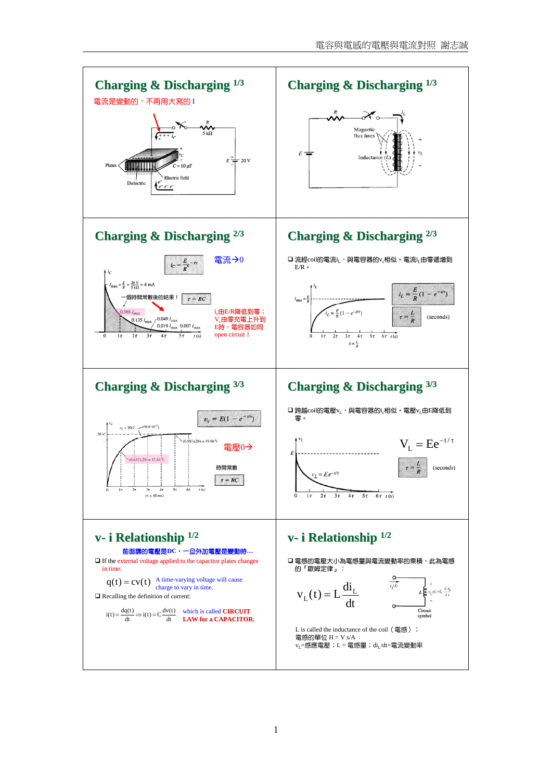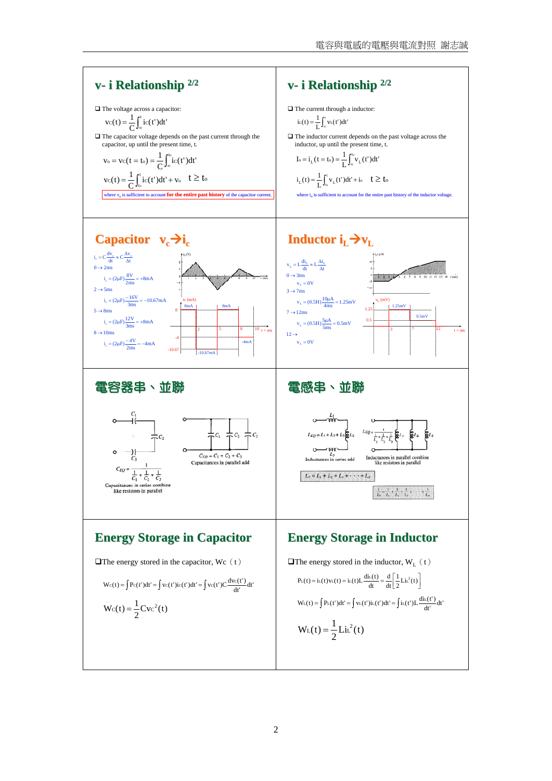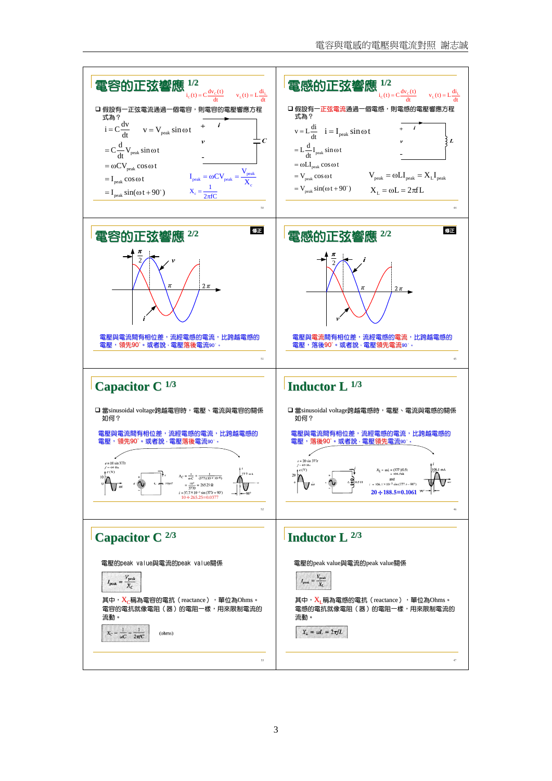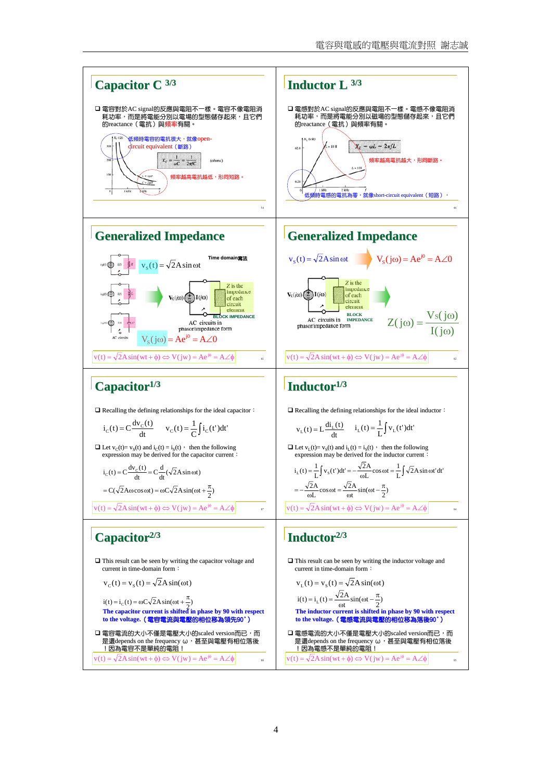